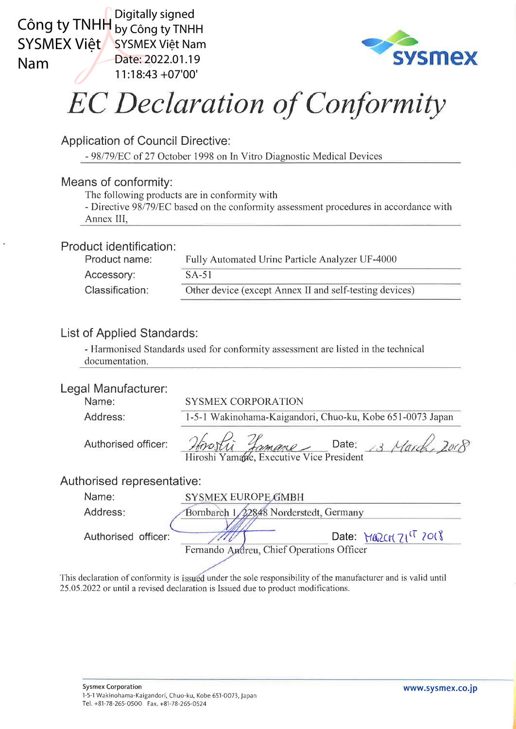

SYSMEX Việt SYSMEX Việt Nam Digitally signed Date: 2022.01.19 11:18:43 +07'00'



## **EC Declaration of Conformity**

Application of Council Directive:

- 98179lEC of 27 October 1998 on In Vitro Diagnostic Medical Devices

### Means of conformity:

The following products are in conformity with

- Directive 98/79/EC based on the conformity assessment procedures in accordance with Annex III,

#### Product identification:

| Product name:   | Fully Automated Urine Particle Analyzer UF-4000         |
|-----------------|---------------------------------------------------------|
| Accessory:      | $SA-51$                                                 |
| Classification: | Other device (except Annex II and self-testing devices) |

## List of Applied Standards:

- Harmonised Standards used for conformity assessment are listed in the technical documentation.

#### Legal Manufacturer:

| Lcyal Manulactulel.        |                                                                         |
|----------------------------|-------------------------------------------------------------------------|
| Name:                      | <b>SYSMEX CORPORATION</b>                                               |
| Address:                   | 1-5-1 Wakinohama-Kaigandori, Chuo-ku, Kobe 651-0073 Japan               |
| Authorised officer:        | Hirostin Jamane Date: 13 March, 2008                                    |
| Authorised representative: |                                                                         |
| Name:                      | SYSMEX EUROPE GMBH                                                      |
| Address:                   | Bornbarch 1, 22848 Norderstedt, Germany                                 |
| Authorised officer:        | Date: $MQZCHZI^{(T)}2O(8)$<br>Fernando Andreu, Chief Operations Officer |
|                            |                                                                         |

This declaration of conformity is issued under the sole responsibility of the manufacturer and is valid until 25.05.2022 or until a revised declaration is Issued due to product modifications.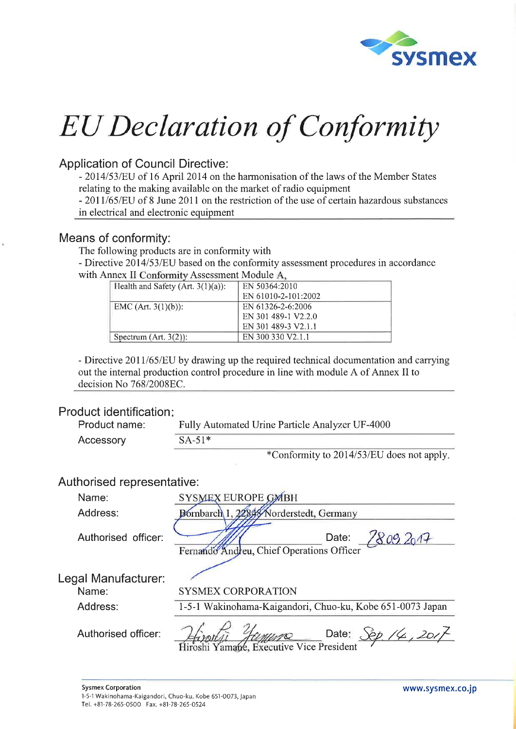

## Application of Council Directive:

- 2014/53/EU of 16 April 2014 on the harmonisation of the laws of the Member States relating to the making available on the market of radio equipment

- 2011/65/EU of 8 June 2011 on the restriction of the use of certain hazardous substances in electrical and electronic equipment

#### Means of conformity:

The following products are in conformity with

- Directive 2014/53/EU based on the conformity assessment procedures in accordance with Annex II Conformity Assessment Module A.

| Health and Safety (Art. $3(1)(a)$ ): | EN 50364:2010       |
|--------------------------------------|---------------------|
|                                      | EN 61010-2-101:2002 |
| $ EMC (Art. 3(1)(b))$ :              | EN 61326-2-6:2006   |
|                                      | EN 301 489-1 V2.2.0 |
|                                      | EN 301 489-3 V2.1.1 |
| Spectrum $(Art. 3(2))$ :             | EN 300 330 V2.1.1   |

- Directive 2011/65/EU by drawing up the required technical documentation and carrying out the intemal production control procedure in line with module A of Annex II to decision No 768/2008EC.

#### Product identification:

| Product name: | Fully Automated Urine Particle Analyzer UF-4000 |  |
|---------------|-------------------------------------------------|--|
| Accessory     | $SA-51*$                                        |  |
|               | $\mathcal{R}_{\text{Coul-1}}$                   |  |

\*Conformity to 2014/53/EU does not apply.

## Authorised representative:

| Name:                        | SYSMEX EUROPE GMBH                                                                      |
|------------------------------|-----------------------------------------------------------------------------------------|
| Address:                     | Bornbarch 1, 22848 Norderstedt, Germany                                                 |
| Authorised officer:          | 7809.2017<br>Date:<br>Fernando Andreu, Chief Operations Officer                         |
| Legal Manufacturer:<br>Name: | <b>SYSMEX CORPORATION</b>                                                               |
| Address:                     | 1-5-1 Wakinohama-Kaigandori, Chuo-ku, Kobe 651-0073 Japan                               |
| Authorised officer:          | Date: $\frac{\mathcal{S}\phi}{\mathcal{S}}$ /4, 201<br>Yamane, Executive Vice President |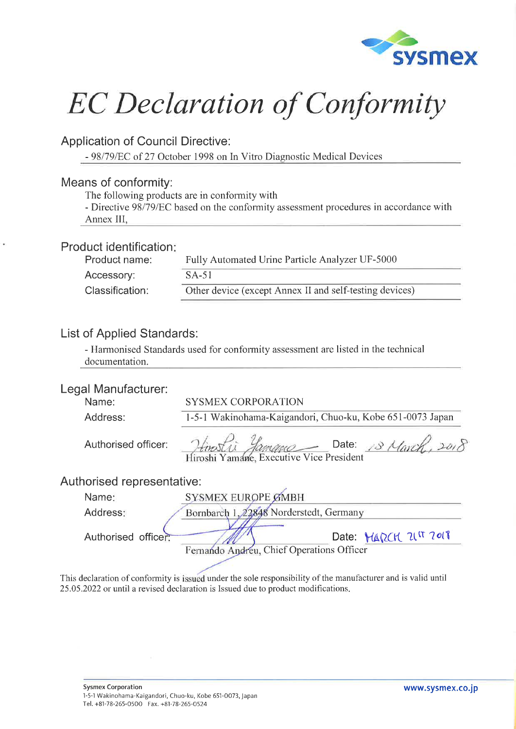

Application of Council Directive:

- 98/79/EC of 27 October 1998 on In Vitro Diagnostic Medical Devices

#### Means of conformity:

The following products are in conformity with

- Directive 98/79/EC based on the conformity assessment procedures in accordance with Annex III,

#### Product identification:

| Product name:   | Fully Automated Urine Particle Analyzer UF-5000         |
|-----------------|---------------------------------------------------------|
| Accessory:      | $SA-51$                                                 |
| Classification: | Other device (except Annex II and self-testing devices) |

## List of Applied Standards:

- Harmonised Standards used for conformity assessment are listed in the technical documentation.

| Legal Manufacturer:        |                                                                    |
|----------------------------|--------------------------------------------------------------------|
| Name:                      | <b>SYSMEX CORPORATION</b>                                          |
| Address:                   | 1-5-1 Wakinohama-Kaigandori, Chuo-ku, Kobe 651-0073 Japan          |
| Authorised officer:        | Hinosti Yamane Date: 18 March,                                     |
| Authorised representative: |                                                                    |
| Name:                      | SYSMEX EUROPE GMBH                                                 |
| Address:                   | Bornbarch 1, 22848 Norderstedt, Germany                            |
| Authorised officer:        | Date: MARCH 21IT 7018<br>Fernando Andreu, Chief Operations Officer |
|                            |                                                                    |

This declaration of conformity is issued under the sole responsibility of the manufacturer and is valid until 25.05.2022 or until a revised declaration is lssued due to product modifications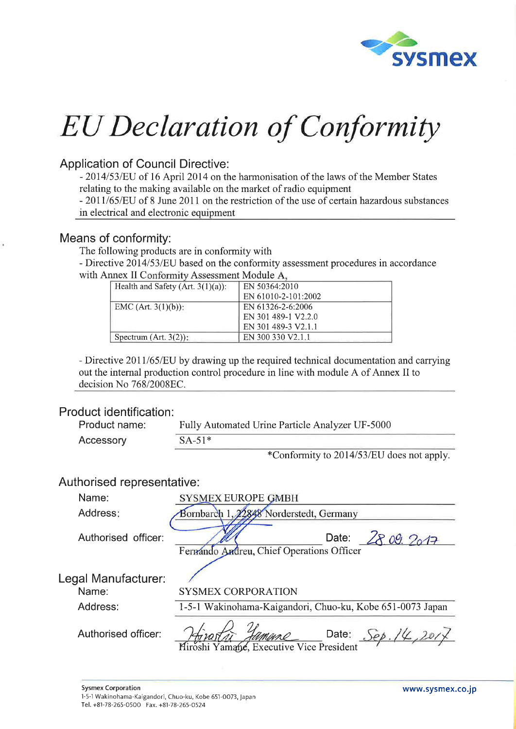

## Application of Council Directive:

- 2014/53/EU of 16 April 2014 on the harmonisation of the laws of the Member States relating to the making available on the market of radio equipment

- 2011/65/EU of 8 June 2011 on the restriction of the use of certain hazardous substances in electrical and electronic equipment

#### Means of conformity:

The following products are in conformity with

- Directive 2014/53/EU based on the conformity assessment procedures in accordance with Annex II Conformity Assessment Module A.

| Health and Safety (Art. $3(1)(a)$ ): | EN 50364:2010       |
|--------------------------------------|---------------------|
|                                      | EN 61010-2-101:2002 |
| EMC (Art. $3(1)(b)$ ):               | EN 61326-2-6:2006   |
|                                      | EN 301 489-1 V2.2.0 |
|                                      | EN 301 489-3 V2.1.1 |
| Spectrum $(Art. 3(2))$ :             | EN 300 330 V2.1.1   |

- Directive 2011/65/EU by drawing up the required technical documentation and carrying out the internal production control procedure in line with module A of Annex II to decision No 768/2008EC.

#### Product identification:

| Product name: | Fully Automated Urine Particle Analyzer UF-5000 |
|---------------|-------------------------------------------------|
| Accessory     | $SA-51*$                                        |

\*Conformity to 2014153/EU does not apply.

## Authorised representative :

| Name:                        | <b>SYSMEX EUROPE GMBH</b>                                                                                        |
|------------------------------|------------------------------------------------------------------------------------------------------------------|
| Address:                     | Bornbarch 1, 22848 Norderstedt, Germany                                                                          |
| Authorised officer:          | 2809.2017<br>Date:<br>Fermando Andreu, Chief Operations Officer                                                  |
| Legal Manufacturer:<br>Name: | <b>SYSMEX CORPORATION</b>                                                                                        |
| Address:                     | 1-5-1 Wakinohama-Kaigandori, Chuo-ku, Kobe 651-0073 Japan                                                        |
| Authorised officer:          | Date: $\frac{\text{Sep.}}{\text{#}}$<br><i>Hyport a Himane</i> Date:<br>Miroshi Yamane, Executive Vice President |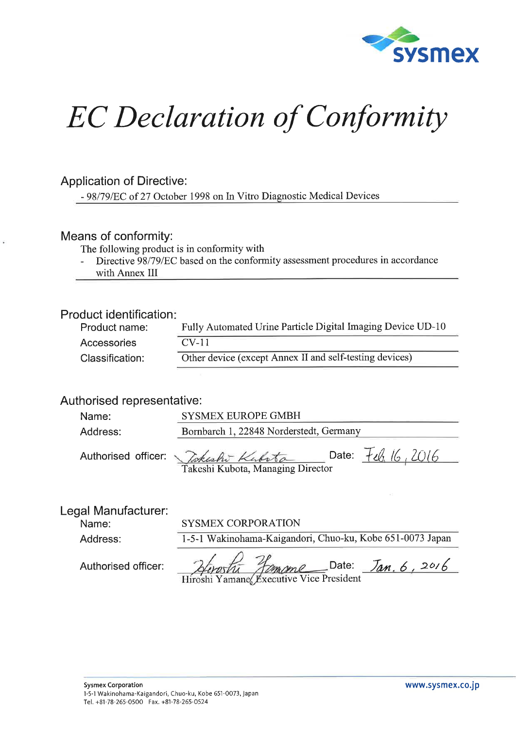

### Application of Directive:

- 98/79/EC of 27 October 1998 on In Vitro Diagnostic Medical Devices

#### Means of conformity:

The following product is in conformity with

- Directive 98/79/EC based on the conformity assessment procedures in accordance
- with Annex III

#### Product identification

| Product name:   | Fully Automated Urine Particle Digital Imaging Device UD-10 |
|-----------------|-------------------------------------------------------------|
| Accessories     | $CV-11$                                                     |
| Classification: | Other device (except Annex II and self-testing devices)     |

### Authorised representative:

| Name:    | <b>SYSMEX EUROPE GMBH</b>                                                |
|----------|--------------------------------------------------------------------------|
| Address: | Bornbarch 1, 22848 Norderstedt, Germany                                  |
|          | Date: $F_{\ell_0}$ 16, 2016<br>Authorised officer: <i>Vokesho Kubsto</i> |

Takeshi Kubota, Managing Director

### Legal Manufacturer:

Address:

Name:

SYSMEX CORPORATION

1-5-1 Wakinohama-Kaigandori, Chuo-ku, Kobe 651-0073 Japan

| Hiroshi Jamane Date: Jan. 6, 2016 |  |  |  |
|-----------------------------------|--|--|--|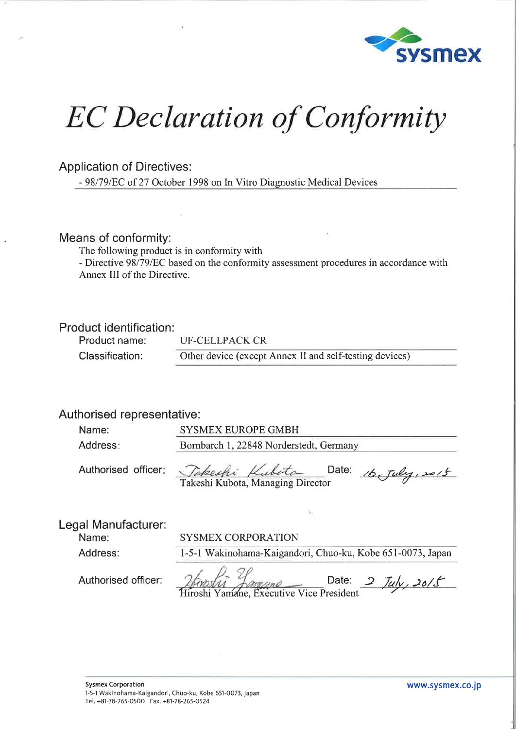

### Application of Directives:

- 98l79lEC of 27 October 1998 on ln Vitro Diagnostic Medical Devices

#### Means of conformity:

The following product is in conformity with

- Directive 98/79/EC based on the conformity assessment procedures in accordance with Annex III of the Directive.

#### Product identification:

Product name: Classification:

UF-CELLPACK CR

Other device (except Annex II and self-testing devices)

#### Authorised representative :

| Name:                        | <b>SYSMEX EUROPE GMBH</b>               |  |  |
|------------------------------|-----------------------------------------|--|--|
| Address:                     | Bornbarch 1, 22848 Norderstedt, Germany |  |  |
| Authorised officer:          | Takeshi Kubota Date: 16 July, 2015      |  |  |
|                              |                                         |  |  |
| Legal Manufacturer:<br>Name: | <b>SYSMEX CORPORATION</b>               |  |  |

Address:

1-5-1 Wakinohama-Kaigandori, Chuo-ku, Kobe 651-0073, Japan

Date:  $2$  Tuly,  $20/5$ Hiroshi Yamane, Executive Vice President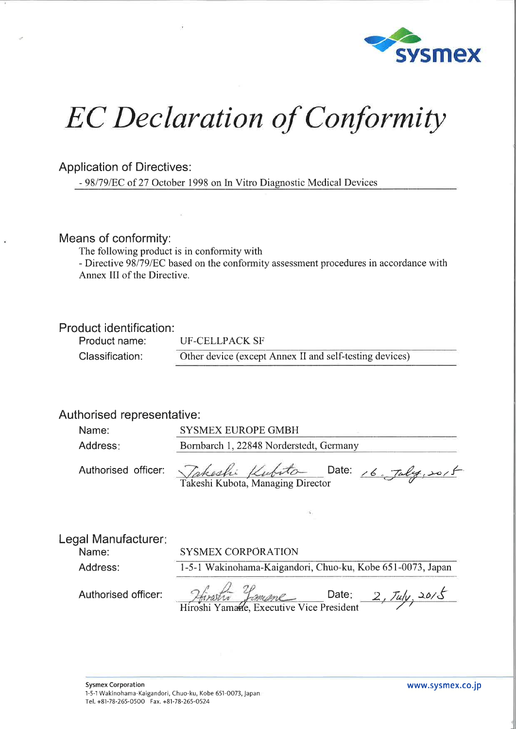

#### Application of Directives:

- 98l79lEC of 27 October 1998 on ln Vitro Diagnostic Medical Devices

#### Means of conformity:

The following product is in conformity with

- Directive 98/79/EC based on the conformity assessment procedures in accordance with Annex III of the Directive.

#### Product identification:

Product name: Classification:

UF-CELLPACK SF

Other device (except Annex II and self-testing devices)

#### Authorised representative :

| Name:    | <b>SYSMEX EUROPE GMBH</b>               |
|----------|-----------------------------------------|
| Address: | Bornbarch 1, 22848 Norderstedt, Germany |
|          |                                         |

Authorised officer:

| enser | Kutio |  |
|-------|-------|--|
| .     |       |  |

Date: 16.  $Jdy$ , 2015

Takeshi Kubota, Managing Director

Name:

Address:

SYSMEX CORPORATION

1-5-1 Wakinohama-Kaigandori, Chuo-ku, Kobe 651-0073, Japan

 $2$ firstin famane Date: 2, Tuly, 2015  $Hirabu$   $Famme$  Date:  $Z, \mu y$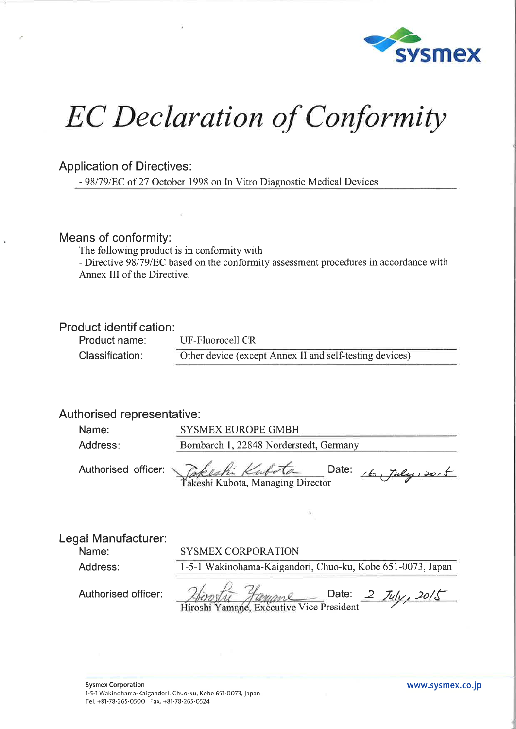

#### Application of Directives:

- 98l79lEC of 27 October 1998 on ln Vitro Diagnostic Medical Devices

#### Means of conformity:

The following product is in conformity with

- Directive 98/79/EC based on the conformity assessment procedures in accordance with Annex III of the Directive.

#### Product identification:

Product name: Classification:

UF-Fluorocell CR Other device (except Annex II and self-testing devices)

### Authorised representative:

| Name:    | <b>SYSMEX EUROPE GMBH</b>               |  |
|----------|-----------------------------------------|--|
| Address: | Bornbarch 1, 22848 Norderstedt, Germany |  |
|          |                                         |  |

Authorised officer:

| .<br>. . | . . | . |  |
|----------|-----|---|--|

Date:  $16$ , Tuly, so, 5

lakeshi Kubota, Managing Director

Address:

Name:

SYSMEX CORPORATION

1-5-1 Wakinohama-Kaigandori, Chuo-ku, Kobe 651-0073, Japan

Date:  $2 J_{4}/2 J_{2}/5$ *Vice Managen* Date:<br>Hiroshi Yamane, Executive Vice President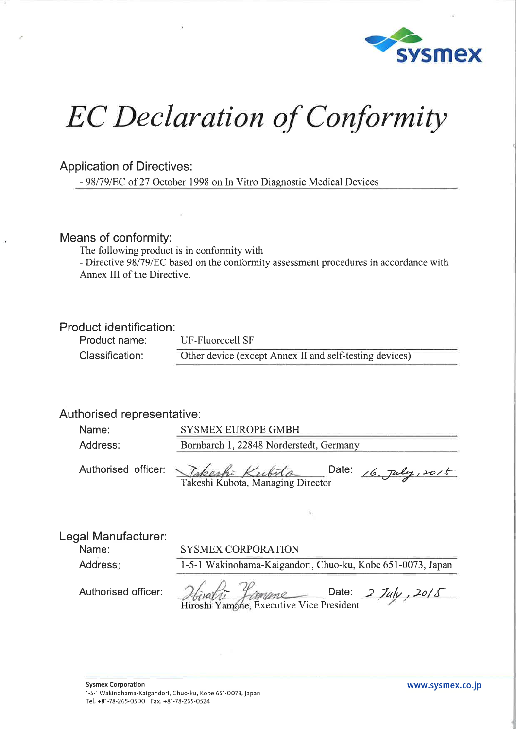

### Application of Directives:

- 98l79lEC of 27 October 1998 on In Vitro Diagnostic Medical Devices

#### Means of conformity:

The following product is in conformity with

- Directive 98/79/EC based on the conformity assessment procedures in accordance with Annex III of the Directive.

#### Product identification:

Product name: Classification:

UF-Fluorocell SF Other device (except Annex II and self-testing devices)

## Authorised representative :

| Name:    | <b>SYSMEX EUROPE GMBH</b>               |  |
|----------|-----------------------------------------|--|
| Address: | Bornbarch 1, 22848 Norderstedt, Germany |  |
|          |                                         |  |

| Authorised officer: <i>Jakeshi Kerbita</i> | Date: $16.$ July, 2015 |
|--------------------------------------------|------------------------|
| Takeshi Kubota, Managing Director          |                        |

Legal Manufacturer:

Authorised officer:

SYSMEX CORPORATION

Address

Name:

1-5-1 Wakinohama-Kaigandori, Chuo-ku, Kobe 651-0073, Japan

 $\frac{1}{\sqrt{2\pi}}$  Date:  $\frac{2}{\sqrt{2}}$  Date:  $\frac{2}{\sqrt{2}}$ Executive Vice President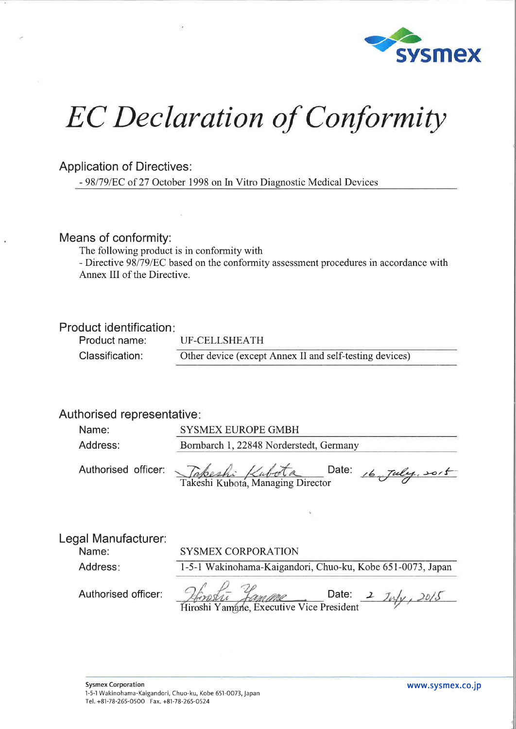

### Application of Directives:

- 98/79/EC of 27 October 1998 on In Vitro Diagnostic Medical Devices

#### Means of conformity:

The following product is in conformity with

- Directive 98/79/EC based on the conformity assessment procedures in accordance with Annex III of the Directive.

#### Product identification:

Product name: Classification:

UF-CELLSHEATH

Other device (except Annex II and self-testing devices)

### Authorised representative

| Name:    | SYSMEX EUROPE GMBH                                                       |
|----------|--------------------------------------------------------------------------|
| Address: | Bornbarch 1, 22848 Norderstedt, Germany                                  |
|          | Authorised officer: <i>Tabeshi Kubota</i> D<br>$=$ Date: $16$ July, soit |

Takeshi Kubota, Managing Director

Legal Manufacturer:

| Name:               | <b>SYSMEX CORPORATION</b>                                  |
|---------------------|------------------------------------------------------------|
| Address:            | 1-5-1 Wakinohama-Kaigandori, Chuo-ku, Kobe 651-0073, Japan |
| Authorised officer: | Date:<br>Hiroshi Yamane Executive Vice President           |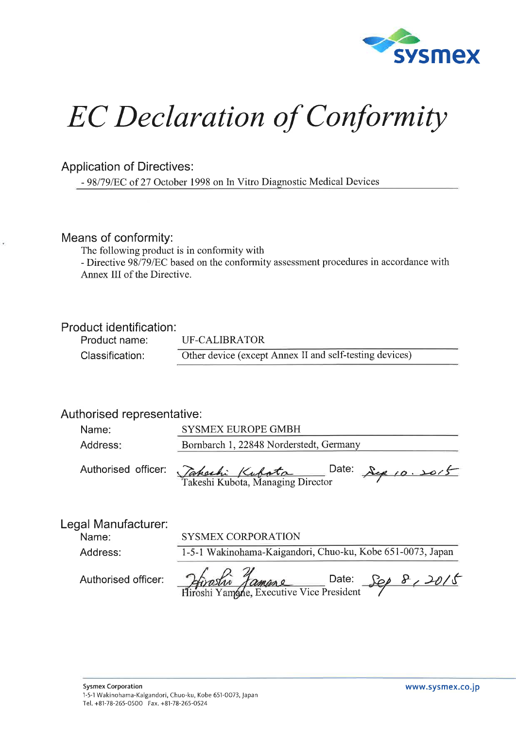

### Application of Directives:

- 98l79lEC of 27 October 1998 on ln Vitro Diagnostic Medical Devices

#### Means of conformity:

The following product is in conformity with

- Directive 98/79/EC based on the conformity assessment procedures in accordance with Annex III of the Directive.

#### Product identification:

| Product name:   | UF-CALIBRATOR<br>the contract of the contract of the contract of the con- |
|-----------------|---------------------------------------------------------------------------|
| Classification: | Other device (except Annex II and self-testing devices)                   |

## Authorised representative:

| Name:                        | <b>SYSMEX EUROPE GMBH</b>                                                                |
|------------------------------|------------------------------------------------------------------------------------------|
| Address:                     | Bornbarch 1, 22848 Norderstedt, Germany                                                  |
| Authorised officer:          | Date:<br>Sep 10.2015<br>Tahachi Kubata <sup>C</sup><br>Takeshi Kubota, Managing Director |
| Legal Manufacturer:<br>Name: | <b>SYSMEX CORPORATION</b>                                                                |
| Address:                     | 1-5-1 Wakinohama-Kaigandori, Chuo-ku, Kobe 651-0073, Japan                               |
|                              |                                                                                          |

Yamane, Executive Vice President

Authorised officer:

Date: Sep 8, 2015